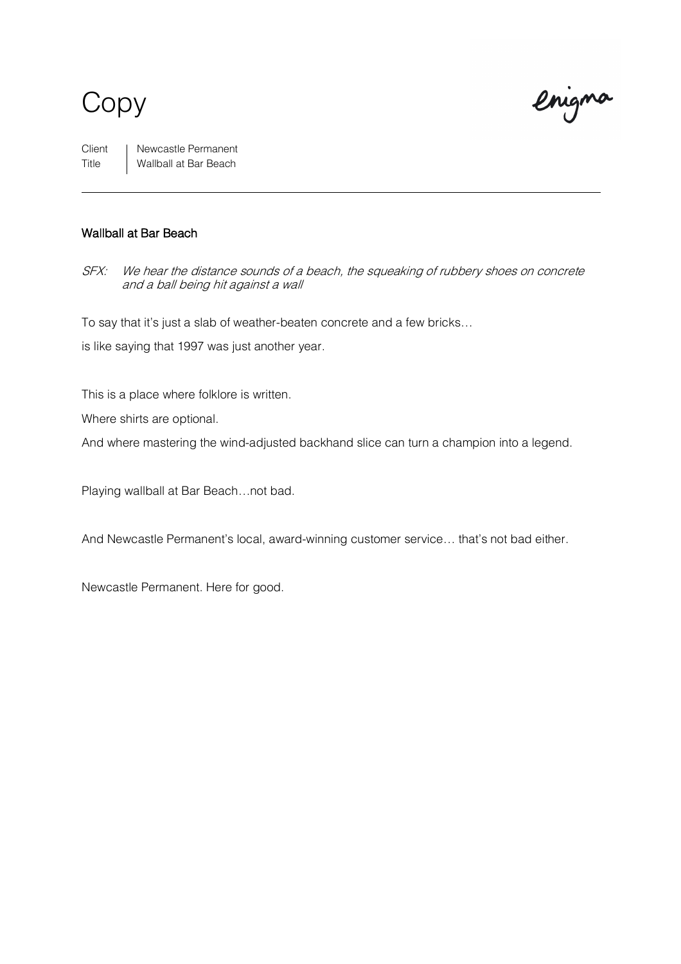### Copy

enigna

Client | Newcastle Permanent Title Wallball at Bar Beach

### Wallball at Bar Beach

SFX: We hear the distance sounds of a beach, the squeaking of rubbery shoes on concrete and a ball being hit against a wall

To say that it's just a slab of weather-beaten concrete and a few bricks…

is like saying that 1997 was just another year.

This is a place where folklore is written.

Where shirts are optional.

And where mastering the wind-adjusted backhand slice can turn a champion into a legend.

Playing wallball at Bar Beach…not bad.

And Newcastle Permanent's local, award-winning customer service… that's not bad either.

Newcastle Permanent. Here for good.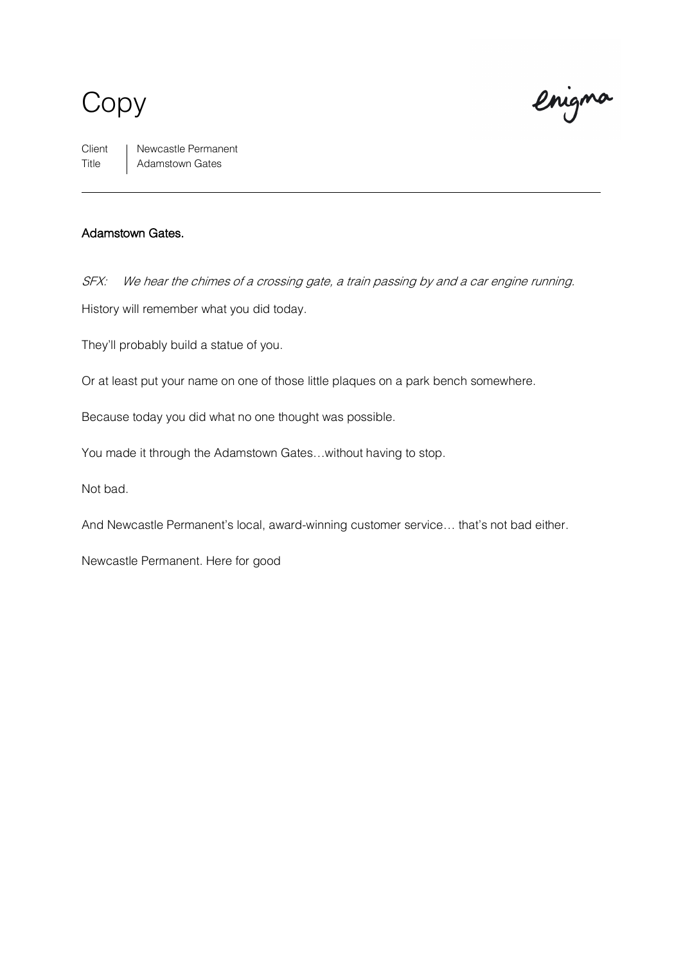# Copy

enigna

Client | Newcastle Permanent Title Adamstown Gates

#### Adamstown Gates.

SFX: We hear the chimes of a crossing gate, a train passing by and a car engine running. History will remember what you did today.

They'll probably build a statue of you.

Or at least put your name on one of those little plaques on a park bench somewhere.

Because today you did what no one thought was possible.

You made it through the Adamstown Gates…without having to stop.

Not bad.

And Newcastle Permanent's local, award-winning customer service… that's not bad either.

Newcastle Permanent. Here for good